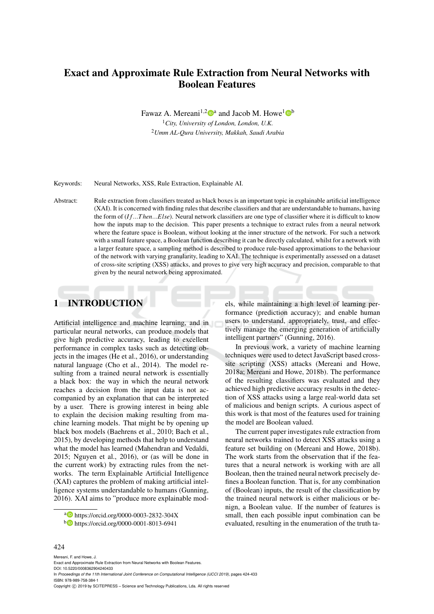# Exact and Approximate Rule Extraction from Neural Networks with Boolean Features

Fawaz A. Mereani<sup>1,2</sup> $\mathbf{D}^{\text{a}}$  and Jacob M. Howe<sup>1</sup> $\mathbf{D}^{\text{b}}$ 

<sup>1</sup>*City, University of London, London, U.K.* <sup>2</sup>*Umm AL-Qura University, Makkah, Saudi Arabia*

Keywords: Neural Networks, XSS, Rule Extraction, Explainable AI.

Abstract: Rule extraction from classifiers treated as black boxes is an important topic in explainable artificial intelligence (XAI). It is concerned with finding rules that describe classifiers and that are understandable to humans, having the form of (*I f*...*T hen*...*Else*). Neural network classifiers are one type of classifier where it is difficult to know how the inputs map to the decision. This paper presents a technique to extract rules from a neural network where the feature space is Boolean, without looking at the inner structure of the network. For such a network with a small feature space, a Boolean function describing it can be directly calculated, whilst for a network with a larger feature space, a sampling method is described to produce rule-based approximations to the behaviour of the network with varying granularity, leading to XAI. The technique is experimentally assessed on a dataset of cross-site scripting (XSS) attacks, and proves to give very high accuracy and precision, comparable to that given by the neural network being approximated.

# 1 INTRODUCTION

Artificial intelligence and machine learning, and in particular neural networks, can produce models that give high predictive accuracy, leading to excellent performance in complex tasks such as detecting objects in the images (He et al., 2016), or understanding natural language (Cho et al., 2014). The model resulting from a trained neural network is essentially a black box: the way in which the neural network reaches a decision from the input data is not accompanied by an explanation that can be interpreted by a user. There is growing interest in being able to explain the decision making resulting from machine learning models. That might be by opening up black box models (Baehrens et al., 2010; Bach et al., 2015), by developing methods that help to understand what the model has learned (Mahendran and Vedaldi, 2015; Nguyen et al., 2016), or (as will be done in the current work) by extracting rules from the networks. The term Explainable Artificial Intelligence (XAI) captures the problem of making artificial intelligence systems understandable to humans (Gunning, 2016). XAI aims to "produce more explainable models, while maintaining a high level of learning performance (prediction accuracy); and enable human users to understand, appropriately, trust, and effectively manage the emerging generation of artificially intelligent partners" (Gunning, 2016).

In previous work, a variety of machine learning techniques were used to detect JavaScript based crosssite scripting (XSS) attacks (Mereani and Howe, 2018a; Mereani and Howe, 2018b). The performance of the resulting classifiers was evaluated and they achieved high predictive accuracy results in the detection of XSS attacks using a large real-world data set of malicious and benign scripts. A curious aspect of this work is that most of the features used for training the model are Boolean valued.

The current paper investigates rule extraction from neural networks trained to detect XSS attacks using a feature set building on (Mereani and Howe, 2018b). The work starts from the observation that if the features that a neural network is working with are all Boolean, then the trained neural network precisely defines a Boolean function. That is, for any combination of (Boolean) inputs, the result of the classification by the trained neural network is either malicious or benign, a Boolean value. If the number of features is small, then each possible input combination can be evaluated, resulting in the enumeration of the truth ta-

#### 424

<sup>a</sup> https://orcid.org/0000-0003-2832-304X

<sup>b</sup> https://orcid.org/0000-0001-8013-6941

Mereani, F. and Howe, J. Exact and Approximate Rule Extraction from Neural Networks with Boolean Features. DOI: 10.5220/0008362904240433 In *Proceedings of the 11th International Joint Conference on Computational Intelligence (IJCCI 2019)*, pages 424-433 ISBN: 978-989-758-384-1 Copyright (C) 2019 by SCITEPRESS - Science and Technology Publications, Lda. All rights reserved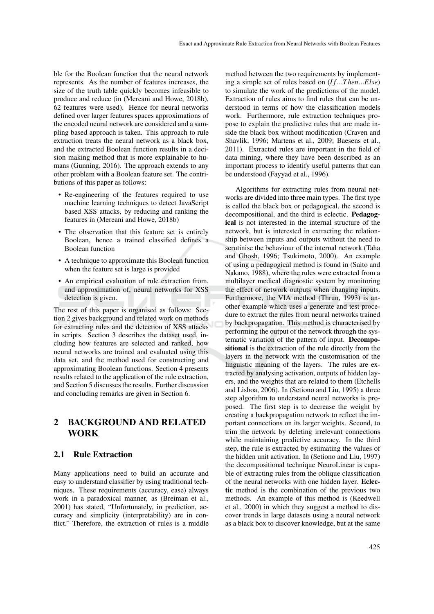ble for the Boolean function that the neural network represents. As the number of features increases, the size of the truth table quickly becomes infeasible to produce and reduce (in (Mereani and Howe, 2018b), 62 features were used). Hence for neural networks defined over larger features spaces approximations of the encoded neural network are considered and a sampling based approach is taken. This approach to rule extraction treats the neural network as a black box, and the extracted Boolean function results in a decision making method that is more explainable to humans (Gunning, 2016). The approach extends to any other problem with a Boolean feature set. The contributions of this paper as follows:

- Re-engineering of the features required to use machine learning techniques to detect JavaScript based XSS attacks, by reducing and ranking the features in (Mereani and Howe, 2018b)
- The observation that this feature set is entirely Boolean, hence a trained classified defines a Boolean function
- A technique to approximate this Boolean function when the feature set is large is provided
- An empirical evaluation of rule extraction from, and approximation of, neural networks for XSS detection is given.

The rest of this paper is organised as follows: Section 2 gives background and related work on methods for extracting rules and the detection of XSS attacks in scripts. Section 3 describes the dataset used, including how features are selected and ranked, how neural networks are trained and evaluated using this data set, and the method used for constructing and approximating Boolean functions. Section 4 presents results related to the application of the rule extraction, and Section 5 discusses the results. Further discussion and concluding remarks are given in Section 6.

# 2 BACKGROUND AND RELATED **WORK**

### 2.1 Rule Extraction

Many applications need to build an accurate and easy to understand classifier by using traditional techniques. These requirements (accuracy, ease) always work in a paradoxical manner, as (Breiman et al., 2001) has stated, "Unfortunately, in prediction, accuracy and simplicity (interpretability) are in conflict." Therefore, the extraction of rules is a middle

method between the two requirements by implementing a simple set of rules based on (*I f*...*T hen*...*Else*) to simulate the work of the predictions of the model. Extraction of rules aims to find rules that can be understood in terms of how the classification models work. Furthermore, rule extraction techniques propose to explain the predictive rules that are made inside the black box without modification (Craven and Shavlik, 1996; Martens et al., 2009; Baesens et al., 2011). Extracted rules are important in the field of data mining, where they have been described as an important process to identify useful patterns that can be understood (Fayyad et al., 1996).

Algorithms for extracting rules from neural networks are divided into three main types. The first type is called the black box or pedagogical, the second is decompositional, and the third is eclectic. Pedagogical is not interested in the internal structure of the network, but is interested in extracting the relationship between inputs and outputs without the need to scrutinise the behaviour of the internal network (Taha and Ghosh, 1996; Tsukimoto, 2000). An example of using a pedagogical method is found in (Saito and Nakano, 1988), where the rules were extracted from a multilayer medical diagnostic system by monitoring the effect of network outputs when changing inputs. Furthermore, the VIA method (Thrun, 1993) is another example which uses a generate and test procedure to extract the rules from neural networks trained by backpropagation. This method is characterised by performing the output of the network through the systematic variation of the pattern of input. Decompositional is the extraction of the rule directly from the layers in the network with the customisation of the linguistic meaning of the layers. The rules are extracted by analysing activation, outputs of hidden layers, and the weights that are related to them (Etchells and Lisboa, 2006). In (Setiono and Liu, 1995) a three step algorithm to understand neural networks is proposed. The first step is to decrease the weight by creating a backpropagation network to reflect the important connections on its larger weights. Second, to trim the network by deleting irrelevant connections while maintaining predictive accuracy. In the third step, the rule is extracted by estimating the values of the hidden unit activation. In (Setiono and Liu, 1997) the decompositional technique NeuroLinear is capable of extracting rules from the oblique classification of the neural networks with one hidden layer. Eclectic method is the combination of the previous two methods. An example of this method is (Keedwell et al., 2000) in which they suggest a method to discover trends in large datasets using a neural network as a black box to discover knowledge, but at the same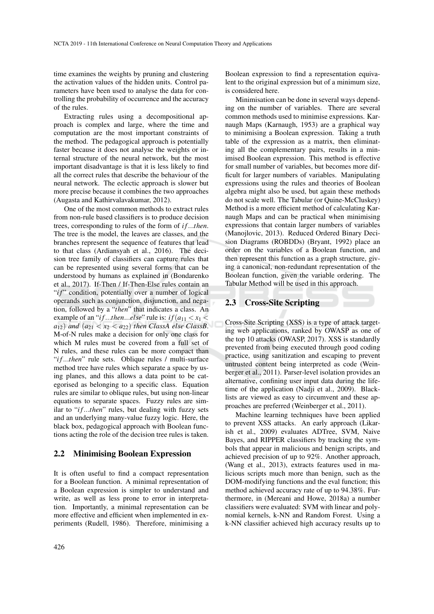time examines the weights by pruning and clustering the activation values of the hidden units. Control parameters have been used to analyse the data for controlling the probability of occurrence and the accuracy of the rules.

Extracting rules using a decompositional approach is complex and large, where the time and computation are the most important constraints of the method. The pedagogical approach is potentially faster because it does not analyse the weights or internal structure of the neural network, but the most important disadvantage is that it is less likely to find all the correct rules that describe the behaviour of the neural network. The eclectic approach is slower but more precise because it combines the two approaches (Augasta and Kathirvalavakumar, 2012).

One of the most common methods to extract rules from non-rule based classifiers is to produce decision trees, corresponding to rules of the form of *i f*...*then*. The tree is the model, the leaves are classes, and the branches represent the sequence of features that lead to that class (Ardiansyah et al., 2016). The decision tree family of classifiers can capture rules that can be represented using several forms that can be understood by humans as explained in (Bondarenko et al., 2017). If-Then / If-Then-Else rules contain an "*if*" condition, potentially over a number of logical operands such as conjunction, disjunction, and negation, followed by a "*then*" that indicates a class. An example of an "*if*...*then*...*else*" rule is: *if*( $a_{11} < x_1$ )  $a_{12}$ ) *and*  $(a_{21} < x_2 < a_{22})$  *then ClassA else ClassB.* M-of-N rules make a decision for only one class for which M rules must be covered from a full set of N rules, and these rules can be more compact than "*if...then*" rule sets. Oblique rules / multi-surface method tree have rules which separate a space by using planes, and this allows a data point to be categorised as belonging to a specific class. Equation rules are similar to oblique rules, but using non-linear equations to separate spaces. Fuzzy rules are similar to "*if*...then" rules, but dealing with fuzzy sets and an underlying many-value fuzzy logic. Here, the black box, pedagogical approach with Boolean functions acting the role of the decision tree rules is taken.

#### 2.2 Minimising Boolean Expression

It is often useful to find a compact representation for a Boolean function. A minimal representation of a Boolean expression is simpler to understand and write, as well as less prone to error in interpretation. Importantly, a minimal representation can be more effective and efficient when implemented in experiments (Rudell, 1986). Therefore, minimising a Boolean expression to find a representation equivalent to the original expression but of a minimum size, is considered here.

Minimisation can be done in several ways depending on the number of variables. There are several common methods used to minimise expressions. Karnaugh Maps (Karnaugh, 1953) are a graphical way to minimising a Boolean expression. Taking a truth table of the expression as a matrix, then eliminating all the complementary pairs, results in a minimised Boolean expression. This method is effective for small number of variables, but becomes more difficult for larger numbers of variables. Manipulating expressions using the rules and theories of Boolean algebra might also be used, but again these methods do not scale well. The Tabular (or Quine-McCluskey) Method is a more efficient method of calculating Karnaugh Maps and can be practical when minimising expressions that contain larger numbers of variables (Manojlovic, 2013). Reduced Ordered Binary Decision Diagrams (ROBDDs) (Bryant, 1992) place an order on the variables of a Boolean function, and then represent this function as a graph structure, giving a canonical, non-redundant representation of the Boolean function, given the variable ordering. The Tabular Method will be used in this approach.

#### 2.3 Cross-Site Scripting

Cross-Site Scripting (XSS) is a type of attack targeting web applications, ranked by OWASP as one of the top 10 attacks (OWASP, 2017). XSS is standardly prevented from being executed through good coding practice, using sanitization and escaping to prevent untrusted content being interpreted as code (Weinberger et al., 2011). Parser-level isolation provides an alternative, confining user input data during the lifetime of the application (Nadji et al., 2009). Blacklists are viewed as easy to circumvent and these approaches are preferred (Weinberger et al., 2011).

Machine learning techniques have been applied to prevent XSS attacks. An early approach (Likarish et al., 2009) evaluates ADTree, SVM, Naive Bayes, and RIPPER classifiers by tracking the symbols that appear in malicious and benign scripts, and achieved precision of up to 92%. Another approach, (Wang et al., 2013), extracts features used in malicious scripts much more than benign, such as the DOM-modifying functions and the eval function; this method achieved accuracy rate of up to 94.38%. Furthermore, in (Mereani and Howe, 2018a) a number classifiers were evaluated: SVM with linear and polynomial kernels, k-NN and Random Forest. Using a k-NN classifier achieved high accuracy results up to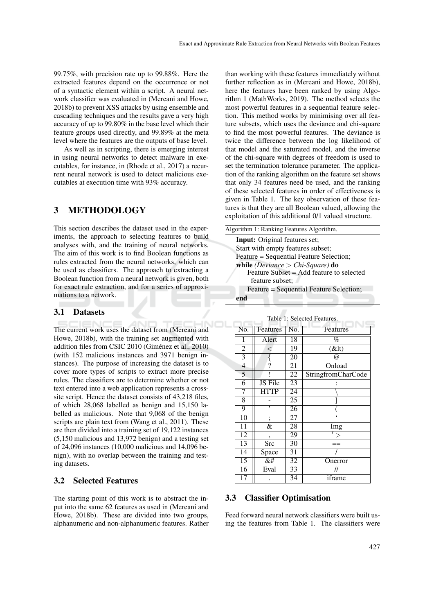99.75%, with precision rate up to 99.88%. Here the extracted features depend on the occurrence or not of a syntactic element within a script. A neural network classifier was evaluated in (Mereani and Howe, 2018b) to prevent XSS attacks by using ensemble and cascading techniques and the results gave a very high accuracy of up to 99.80% in the base level which their feature groups used directly, and 99.89% at the meta level where the features are the outputs of base level.

As well as in scripting, there is emerging interest in using neural networks to detect malware in executables, for instance, in (Rhode et al., 2017) a recurrent neural network is used to detect malicious executables at execution time with 93% accuracy.

### 3 METHODOLOGY

This section describes the dataset used in the experiments, the approach to selecting features to build analyses with, and the training of neural networks. The aim of this work is to find Boolean functions as rules extracted from the neural networks, which can be used as classifiers. The approach to extracting a Boolean function from a neural network is given, both for exact rule extraction, and for a series of approximations to a network.

#### 3.1 Datasets

The current work uses the dataset from (Mereani and Howe, 2018b), with the training set augmented with addition files from CSIC 2010 (Giménez et al., 2010) (with 152 malicious instances and 3971 benign instances). The purpose of increasing the dataset is to cover more types of scripts to extract more precise rules. The classifiers are to determine whether or not text entered into a web application represents a crosssite script. Hence the dataset consists of 43,218 files, of which 28,068 labelled as benign and 15,150 labelled as malicious. Note that 9,068 of the benign scripts are plain text from (Wang et al., 2011). These are then divided into a training set of 19,122 instances (5,150 malicious and 13,972 benign) and a testing set of 24,096 instances (10,000 malicious and 14,096 benign), with no overlap between the training and testing datasets.

#### 3.2 Selected Features

The starting point of this work is to abstract the input into the same 62 features as used in (Mereani and Howe, 2018b). These are divided into two groups, alphanumeric and non-alphanumeric features. Rather

than working with these features immediately without further reflection as in (Mereani and Howe, 2018b), here the features have been ranked by using Algorithm 1 (MathWorks, 2019). The method selects the most powerful features in a sequential feature selection. This method works by minimising over all feature subsets, which uses the deviance and chi-square to find the most powerful features. The deviance is twice the difference between the log likelihood of that model and the saturated model, and the inverse of the chi-square with degrees of freedom is used to set the termination tolerance parameter. The application of the ranking algorithm on the feature set shows that only 34 features need be used, and the ranking of these selected features in order of effectiveness is given in Table 1. The key observation of these features is that they are all Boolean valued, allowing the exploitation of this additional 0/1 valued structure.

| Algorithm 1: Ranking Features Algorithm. |
|------------------------------------------|
| <b>Input:</b> Original features set;     |
| Start with empty features subset;        |
| Feature = Sequential Feature Selection;  |
| while (Deviance $>$ Chi-Square) do       |
| Feature Subset = Add feature to selected |
| feature subset:                          |
| Feature = Sequential Feature Selection;  |
|                                          |

| No.             | Features                                                                                                                                                                                                                                                | No.             | Features                  |
|-----------------|---------------------------------------------------------------------------------------------------------------------------------------------------------------------------------------------------------------------------------------------------------|-----------------|---------------------------|
| 1               | Alert                                                                                                                                                                                                                                                   | 18              | %                         |
| $\overline{2}$  | $\,<\,$                                                                                                                                                                                                                                                 | 19              | $\overline{(\&)}$         |
| 3               |                                                                                                                                                                                                                                                         | $\overline{2}0$ | $\omega$                  |
| 4               | 7                                                                                                                                                                                                                                                       | 21              | Onload                    |
| $\overline{5}$  |                                                                                                                                                                                                                                                         | 22              | <b>StringfromCharCode</b> |
| $\overline{6}$  | JS File                                                                                                                                                                                                                                                 | $\overline{23}$ |                           |
| 7               | <b>HTTP</b>                                                                                                                                                                                                                                             | 24              |                           |
| $\overline{8}$  |                                                                                                                                                                                                                                                         | 25              |                           |
| 9               | ,                                                                                                                                                                                                                                                       | 26              |                           |
| 10              | :                                                                                                                                                                                                                                                       | 27              |                           |
| 11              | &                                                                                                                                                                                                                                                       | $\overline{28}$ | <b>I</b> mg               |
| 12              | ۰                                                                                                                                                                                                                                                       | 29              |                           |
| 13              | <b>Src</b>                                                                                                                                                                                                                                              | 30              |                           |
| 14              | Space                                                                                                                                                                                                                                                   | $\overline{31}$ |                           |
| $\overline{15}$ | &#</td><td><math>\overline{32}</math></td><td>Onerror</td></tr><tr><td>16</td><td>Eval</td><td><math>\overline{33}</math></td><td>//</td></tr><tr><td><math>\overline{17}</math></td><td></td><td>34</td><td colspan=3>iframe</td></tr></tbody></table> |                 |                           |

| Table 1: Selected Features. |
|-----------------------------|
|-----------------------------|

### 3.3 Classifier Optimisation

Feed forward neural network classifiers were built using the features from Table 1. The classifiers were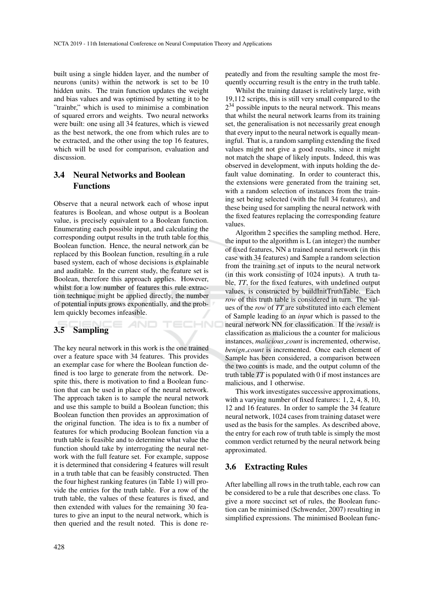built using a single hidden layer, and the number of neurons (units) within the network is set to be 10 hidden units. The train function updates the weight and bias values and was optimised by setting it to be "trainbr," which is used to minimise a combination of squared errors and weights. Two neural networks were built: one using all 34 features, which is viewed as the best network, the one from which rules are to be extracted, and the other using the top 16 features, which will be used for comparison, evaluation and discussion.

# 3.4 Neural Networks and Boolean Functions

Observe that a neural network each of whose input features is Boolean, and whose output is a Boolean value, is precisely equivalent to a Boolean function. Enumerating each possible input, and calculating the corresponding output results in the truth table for this Boolean function. Hence, the neural network can be replaced by this Boolean function, resulting in a rule based system, each of whose decisions is explainable and auditable. In the current study, the feature set is Boolean, therefore this approach applies. However, whilst for a low number of features this rule extraction technique might be applied directly, the number of potential inputs grows exponentially, and the problem quickly becomes infeasible.

TECHNO

### 3.5 Sampling

The key neural network in this work is the one trained over a feature space with 34 features. This provides an exemplar case for where the Boolean function defined is too large to generate from the network. Despite this, there is motivation to find a Boolean function that can be used in place of the neural network. The approach taken is to sample the neural network and use this sample to build a Boolean function; this Boolean function then provides an approximation of the original function. The idea is to fix a number of features for which producing Boolean function via a truth table is feasible and to determine what value the function should take by interrogating the neural network with the full feature set. For example, suppose it is determined that considering 4 features will result in a truth table that can be feasibly constructed. Then the four highest ranking features (in Table 1) will provide the entries for the truth table. For a row of the truth table, the values of these features is fixed, and then extended with values for the remaining 30 features to give an input to the neural network, which is then queried and the result noted. This is done repeatedly and from the resulting sample the most frequently occurring result is the entry in the truth table.

Whilst the training dataset is relatively large, with 19,112 scripts, this is still very small compared to the  $2<sup>34</sup>$  possible inputs to the neural network. This means that whilst the neural network learns from its training set, the generalisation is not necessarily great enough that every input to the neural network is equally meaningful. That is, a random sampling extending the fixed values might not give a good results, since it might not match the shape of likely inputs. Indeed, this was observed in development, with inputs holding the default value dominating. In order to counteract this, the extensions were generated from the training set, with a random selection of instances from the training set being selected (with the full 34 features), and these being used for sampling the neural network with the fixed features replacing the corresponding feature values.

Algorithm 2 specifies the sampling method. Here, the input to the algorithm is L (an integer) the number of fixed features, NN a trained neural network (in this case with 34 features) and Sample a random selection from the training set of inputs to the neural network (in this work consisting of 1024 inputs). A truth table, *TT*, for the fixed features, with undefined output values, is constructed by buildInitTruthTable. Each *row* of this truth table is considered in turn. The values of the *row* of *TT* are substituted into each element of Sample leading to an *input* which is passed to the neural network NN for classification. If the *result* is classification as malicious the a counter for malicious instances, *malicious count* is incremented, otherwise, *benign count* is incremented. Once each element of Sample has been considered, a comparison between the two counts is made, and the output column of the truth table *TT* is populated with 0 if most instances are malicious, and 1 otherwise.

This work investigates successive approximations, with a varying number of fixed features: 1, 2, 4, 8, 10, 12 and 16 features. In order to sample the 34 feature neural network, 1024 cases from training dataset were used as the basis for the samples. As described above, the entry for each row of truth table is simply the most common verdict returned by the neural network being approximated.

### 3.6 Extracting Rules

After labelling all rows in the truth table, each row can be considered to be a rule that describes one class. To give a more succinct set of rules, the Boolean function can be minimised (Schwender, 2007) resulting in simplified expressions. The minimised Boolean func-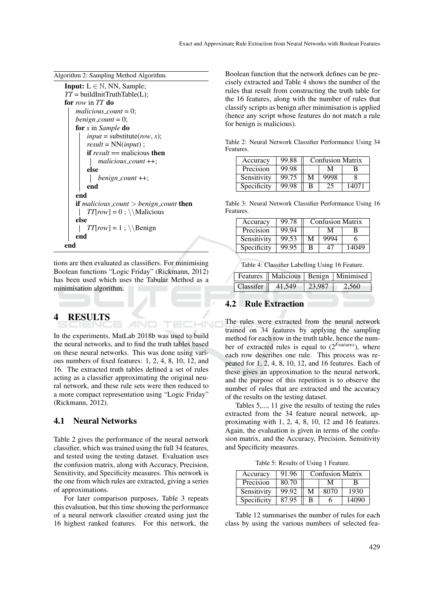| <b>Input:</b> $L \in \mathbb{N}$ , NN, Sample;         |
|--------------------------------------------------------|
| $TT = \text{buildInitTruthTable(L)};$                  |
| for row in TT do                                       |
| $malicious_{\text{}count}=0$ ;                         |
| benign_count = $0$ ;                                   |
| <b>for</b> s in Sample <b>do</b>                       |
| $input =$ substitute $(row, s)$ ;                      |
| $result = NN(input);$                                  |
| <b>if</b> result $==$ malicious <b>then</b>            |
| $malicious_{count}++;$                                 |
| else                                                   |
| $benign_count++;$                                      |
| end                                                    |
| end                                                    |
| <b>if</b> malicious_count $>$ benign_count <b>then</b> |
| $TT[row] = 0$ ; \\Malicious                            |
| else                                                   |
| $TT[row] = 1$ ; \\Benign                               |
| end                                                    |
| end                                                    |

tions are then evaluated as classifiers. For minimising Boolean functions "Logic Friday" (Rickmann, 2012) has been used which uses the Tabular Method as a minimisation algorithm.

# 4 RESULTS

In the experiments, MatLab 2018b was used to build the neural networks, and to find the truth tables based on these neural networks. This was done using various numbers of fixed features: 1, 2, 4, 8, 10, 12, and 16. The extracted truth tables defined a set of rules acting as a classifier approximating the original neural network, and these rule sets were then reduced to a more compact representation using "Logic Friday" (Rickmann, 2012).

### 4.1 Neural Networks

Table 2 gives the performance of the neural network classifier, which was trained using the full 34 features, and tested using the testing dataset. Evaluation uses the confusion matrix, along with Accuracy, Precision, Sensitivity, and Specificity measures. This network is the one from which rules are extracted, giving a series of approximations.

For later comparison purposes, Table 3 repeats this evaluation, but this time showing the performance of a neural network classifier created using just the 16 highest ranked features. For this network, the

Boolean function that the network defines can be precisely extracted and Table 4 shows the number of the rules that result from constructing the truth table for the 16 features, along with the number of rules that classify scripts as benign after minimisation is applied (hence any script whose features do not match a rule for benign is malicious).

Table 2: Neural Network Classifier Performance Using 34 Features.

| Accuracy    | 99.88 | <b>Confusion Matrix</b> |      |       |
|-------------|-------|-------------------------|------|-------|
| Precision   | 99.98 | М<br>в                  |      |       |
| Sensitivity | 99.75 | М                       | 9998 |       |
| Specificity | 99.98 | B                       | 25   | 14071 |

Table 3: Neural Network Classifier Performance Using 16 Features.

| Accuracy    | 99.78 | <b>Confusion Matrix</b> |      |       |
|-------------|-------|-------------------------|------|-------|
| Precision   | 99.94 |                         | M    |       |
| Sensitivity | 99.53 | М                       | 9994 |       |
| Specificity | 99.95 | R                       |      | 14049 |

Table 4: Classifier Labelling Using 16 Feature.

|                                     | <b>Features</b>   Malicious   Benign   Minimised |
|-------------------------------------|--------------------------------------------------|
| Classifer $\parallel$ 41,549 23,987 | 2,560                                            |

### 4.2 Rule Extraction

 $\overline{\phantom{a}}$ 

The rules were extracted from the neural network trained on 34 features by applying the sampling method for each row in the truth table, hence the number of extracted rules is equal to (2*Features*), where each row describes one rule. This process was repeated for 1, 2, 4, 8, 10, 12, and 16 features. Each of these gives an approximation to the neural network, and the purpose of this repetition is to observe the number of rules that are extracted and the accuracy of the results on the testing dataset.

Tables 5,..., 11 give the results of testing the rules extracted from the 34 feature neural network, approximating with 1, 2, 4, 8, 10, 12 and 16 features. Again, the evaluation is given in terms of the confusion matrix, and the Accuracy, Precision, Sensitivity and Specificity measures.

Table 5: Results of Using 1 Feature.

| Accuracy    | 91.96 | <b>Confusion Matrix</b> |      |       |
|-------------|-------|-------------------------|------|-------|
| Precision   | 80.70 | М<br>R                  |      |       |
| Sensitivity | 99.92 | М                       | 8070 | 1930  |
| Specificity | 87.95 | В                       |      | 14090 |

Table 12 summarises the number of rules for each class by using the various numbers of selected fea-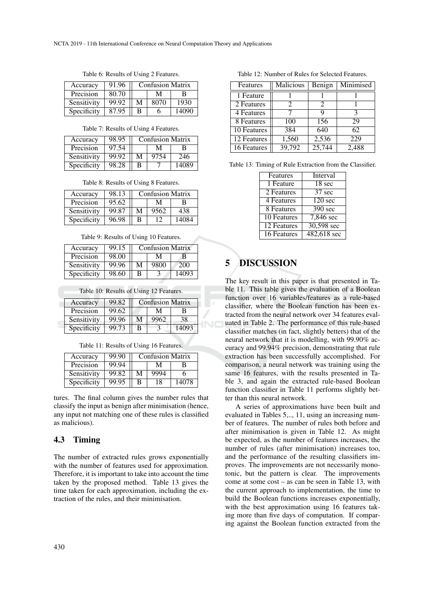| Accuracy    | 91.96 | <b>Confusion Matrix</b> |      |       |
|-------------|-------|-------------------------|------|-------|
| Precision   | 80.70 | М<br>в                  |      |       |
| Sensitivity | 99.92 | М                       | 8070 | 1930  |
| Specificity | 87.95 | B                       |      | 14090 |

Table 6: Results of Using 2 Features.

Table 7: Results of Using 4 Features.

| Accuracy    | 98.95 | <b>Confusion Matrix</b> |      |       |
|-------------|-------|-------------------------|------|-------|
| Precision   | 97.54 | М                       |      |       |
| Sensitivity | 99.92 | M                       | 9754 | 246   |
| Specificity | 98.28 | в                       |      | 14089 |

Table 8: Results of Using 8 Features.

| Accuracy    | 98.13 | <b>Confusion Matrix</b> |      |       |
|-------------|-------|-------------------------|------|-------|
| Precision   | 95.62 | М                       |      | в     |
| Sensitivity | 99.87 | M                       | 9562 | 438   |
| Specificity | 96.98 | в                       |      | 14084 |

Table 9: Results of Using 10 Features.

| Accuracy    | 99.15 |   | <b>Confusion Matrix</b> |       |
|-------------|-------|---|-------------------------|-------|
| Precision   | 98.00 |   | М                       | В     |
| Sensitivity | 99.96 | M | 9800                    | 200   |
| Specificity | 98.60 | B |                         | 14093 |

Table 10: Results of Using 12 Features.

| Accuracy    | 99.82 | <b>Confusion Matrix</b> |      |    |
|-------------|-------|-------------------------|------|----|
| Precision   | 99.62 |                         | М    |    |
| Sensitivity | 99.96 | М                       | 9962 | 38 |
| Specificity | 99.73 | в                       |      |    |

Table 11: Results of Using 16 Features.

| Accuracy    | 99.90 | <b>Confusion Matrix</b> |      |       |
|-------------|-------|-------------------------|------|-------|
| Precision   | 99.94 |                         | М    | в     |
| Sensitivity | 99.82 | M                       | 9994 |       |
| Specificity | 99.95 | B                       | 18   | 14078 |

tures. The final column gives the number rules that classify the input as benign after minimisation (hence, any input not matching one of these rules is classified as malicious).

#### 4.3 Timing

The number of extracted rules grows exponentially with the number of features used for approximation. Therefore, it is important to take into account the time taken by the proposed method. Table 13 gives the time taken for each approximation, including the extraction of the rules, and their minimisation.

| Table 12: Number of Rules for Selected Features. |
|--------------------------------------------------|
|--------------------------------------------------|

| Features                 | Malicious             | Benign | Minimised |
|--------------------------|-----------------------|--------|-----------|
| 1 Feature                |                       |        |           |
| 2 Features               | $\mathcal{D}_{\cdot}$ | 2      |           |
| 4 Features               |                       | Q      | 3         |
| 8 Features               | 100                   | 156    | 29        |
| $\overline{10}$ Features | 384                   | 640    | 62        |
| 12 Features              | 1,560                 | 2,536  | 229       |
| 16 Features              | 39,792                | 25,744 | 2,488     |

Table 13: Timing of Rule Extraction from the Classifier.

| Interval              |
|-----------------------|
| 18 sec                |
| 37 sec                |
| $\overline{120}$ sec  |
| $\overline{390}$ sec  |
| $7,846$ sec           |
| 30,598 sec            |
| $482,618 \text{ sec}$ |
|                       |

# 5 DISCUSSION

The key result in this paper is that presented in Table 11. This table gives the evaluation of a Boolean function over 16 variables/features as a rule-based classifier, where the Boolean function has been extracted from the neural network over 34 features evaluated in Table 2. The performance of this rule-based classifier matches (in fact, slightly betters) that of the neural network that it is modelling, with 99.90% accuracy and 99.94% precision, demonstrating that rule extraction has been successfully accomplished. For comparison, a neural network was training using the same 16 features, with the results presented in Table 3, and again the extracted rule-based Boolean function classifier in Table 11 performs slightly better than this neural network.

A series of approximations have been built and evaluated in Tables 5,.., 11, using an increasing number of features. The number of rules both before and after minimisation is given in Table 12. As might be expected, as the number of features increases, the number of rules (after minimisation) increases too, and the performance of the resulting classifiers improves. The improvements are not necessarily monotonic, but the pattern is clear. The improvements come at some cost – as can be seen in Table 13, with the current approach to implementation, the time to build the Boolean functions increases exponentially, with the best approximation using 16 features taking more than five days of computation. If comparing against the Boolean function extracted from the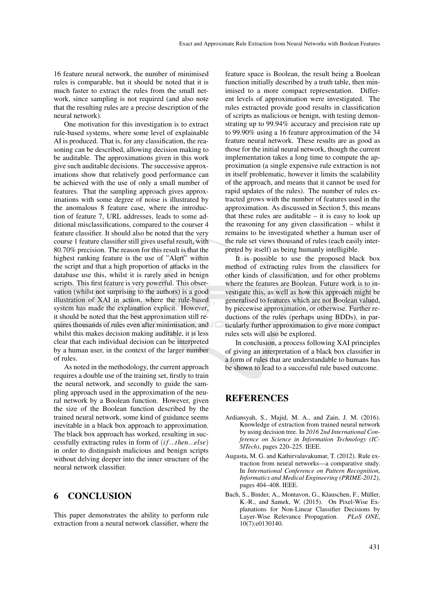16 feature neural network, the number of minimised rules is comparable, but it should be noted that it is much faster to extract the rules from the small network, since sampling is not required (and also note that the resulting rules are a precise description of the neural network).

One motivation for this investigation is to extract rule-based systems, where some level of explainable AI is produced. That is, for any classification, the reasoning can be described, allowing decision making to be auditable. The approximations given in this work give such auditable decisions. The successive approximations show that relatively good performance can be achieved with the use of only a small number of features. That the sampling approach gives approximations with some degree of noise is illustrated by the anomalous 8 feature case, where the introduction of feature 7, URL addresses, leads to some additional misclassifications, compared to the courser 4 feature classifier. It should also be noted that the very course 1 feature classifier still gives useful result, with 80.70% precision. The reason for this result is that the highest ranking feature is the use of "Alert" within the script and that a high proportion of attacks in the database use this, whilst it is rarely used in benign scripts. This first feature is very powerful. This observation (whilst not surprising to the authors) is a good illustration of XAI in action, where the rule-based system has made the explanation explicit. However, it should be noted that the best approximation still requires thousands of rules even after minimisation, and whilst this makes decision making auditable, it is less clear that each individual decision can be interpreted by a human user, in the context of the larger number of rules.

As noted in the methodology, the current approach requires a double use of the training set, firstly to train the neural network, and secondly to guide the sampling approach used in the approximation of the neural network by a Boolean function. However, given the size of the Boolean function described by the trained neural network, some kind of guidance seems inevitable in a black box approach to approximation. The black box approach has worked, resulting in successfully extracting rules in form of (*i f*...*then*...*else*) in order to distinguish malicious and benign scripts without delving deeper into the inner structure of the neural network classifier.

# 6 CONCLUSION

This paper demonstrates the ability to perform rule extraction from a neural network classifier, where the

feature space is Boolean, the result being a Boolean function initially described by a truth table, then minimised to a more compact representation. Different levels of approximation were investigated. The rules extracted provide good results in classification of scripts as malicious or benign, with testing demonstrating up to 99.94% accuracy and precision rate up to 99.90% using a 16 feature approximation of the 34 feature neural network. These results are as good as those for the initial neural network, though the current implementation takes a long time to compute the approximation (a single expensive rule extraction is not in itself problematic, however it limits the scalability of the approach, and means that it cannot be used for rapid updates of the rules). The number of rules extracted grows with the number of features used in the approximation. As discussed in Section 5, this means that these rules are auditable  $-$  it is easy to look up the reasoning for any given classification – whilst it remains to be investigated whether a human user of the rule set views thousand of rules (each easily interpreted by itself) as being humanly intelligible.

It is possible to use the proposed black box method of extracting rules from the classifiers for other kinds of classification, and for other problems where the features are Boolean. Future work is to investigate this, as well as how this approach might be generalised to features which are not Boolean valued, by piecewise approximation, or otherwise. Further reductions of the rules (perhaps using BDDs), in particularly further approximation to give more compact rules sets will also be explored.

In conclusion, a process following XAI principles of giving an interpretation of a black box classifier in a form of rules that are understandable to humans has be shown to lead to a successful rule based outcome.

# **REFERENCES**

- Ardiansyah, S., Majid, M. A., and Zain, J. M. (2016). Knowledge of extraction from trained neural network by using decision tree. In *2016 2nd International Conference on Science in Information Technology (IC-SITech)*, pages 220–225. IEEE.
- Augasta, M. G. and Kathirvalavakumar, T. (2012). Rule extraction from neural networks—a comparative study. In *International Conference on Pattern Recognition, Informatics and Medical Engineering (PRIME-2012)*, pages 404–408. IEEE.
- Bach, S., Binder, A., Montavon, G., Klauschen, F., Müller, K.-R., and Samek, W. (2015). On Pixel-Wise Explanations for Non-Linear Classifier Decisions by Layer-Wise Relevance Propagation. *PLoS ONE*, 10(7):e0130140.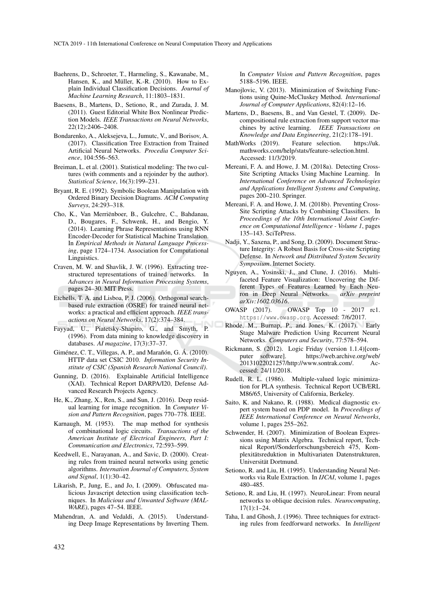- Baehrens, D., Schroeter, T., Harmeling, S., Kawanabe, M., Hansen, K., and Müller, K.-R. (2010). How to Explain Individual Classification Decisions. *Journal of Machine Learning Research*, 11:1803–1831.
- Baesens, B., Martens, D., Setiono, R., and Zurada, J. M. (2011). Guest Editorial White Box Nonlinear Prediction Models. *IEEE Transactions on Neural Networks*, 22(12):2406–2408.
- Bondarenko, A., Aleksejeva, L., Jumutc, V., and Borisov, A. (2017). Classification Tree Extraction from Trained Artificial Neural Networks. *Procedia Computer Science*, 104:556–563.
- Breiman, L. et al. (2001). Statistical modeling: The two cultures (with comments and a rejoinder by the author). *Statistical Science*, 16(3):199–231.
- Bryant, R. E. (1992). Symbolic Boolean Manipulation with Ordered Binary Decision Diagrams. *ACM Computing Surveys*, 24:293–318.
- Cho, K., Van Merriënboer, B., Gulcehre, C., Bahdanau, D., Bougares, F., Schwenk, H., and Bengio, Y. (2014). Learning Phrase Representations using RNN Encoder-Decoder for Statistical Machine Translation. In *Empirical Methods in Natural Language Processing*, page 1724–1734. Association for Computational Linguistics.
- Craven, M. W. and Shavlik, J. W. (1996). Extracting treestructured tepresentations of trained networks. In *Advances in Neural Information Processing Systems*, pages 24–30. MIT Press.
- Etchells, T. A. and Lisboa, P. J. (2006). Orthogonal searchbased rule extraction (OSRE) for trained neural networks: a practical and efficient approach. *IEEE transactions on Neural Networks*, 17(2):374–384.
- Fayyad, U., Piatetsky-Shapiro, G., and Smyth, P. (1996). From data mining to knowledge discovery in databases. *AI magazine*, 17(3):37–37.
- Giménez, C. T., Villegas, A. P., and Marañón, G. Á. (2010). HTTP data set CSIC 2010. *Information Security Institute of CSIC (Spanish Research National Council)*.
- Gunning, D. (2016). Explainable Artificial Intelligence (XAI). Technical Report DARPA/I20, Defense Advanced Research Projects Agency.
- He, K., Zhang, X., Ren, S., and Sun, J. (2016). Deep residual learning for image recognition. In *Computer Vision and Pattern Recognition*, pages 770–778. IEEE.
- Karnaugh, M. (1953). The map method for synthesis of combinational logic circuits. *Transactions of the American Institute of Electrical Engineers, Part I: Communication and Electronics*, 72:593–599.
- Keedwell, E., Narayanan, A., and Savic, D. (2000). Creating rules from trained neural networks using genetic algorithms. *Internation Journal of Computers, System and Signal*, 1(1):30–42.
- Likarish, P., Jung, E., and Jo, I. (2009). Obfuscated malicious Javascript detection using classification techniques. In *Malicious and Unwanted Software (MAL-WARE)*, pages 47–54. IEEE.
- Mahendran, A. and Vedaldi, A. (2015). Understanding Deep Image Representations by Inverting Them.

In *Computer Vision and Pattern Recognition*, pages 5188–5196. IEEE.

- Manojlovic, V. (2013). Minimization of Switching Functions using Quine-McCluskey Method. *International Journal of Computer Applications*, 82(4):12–16.
- Martens, D., Baesens, B., and Van Gestel, T. (2009). Decompositional rule extraction from support vector machines by active learning. *IEEE Transactions on Knowledge and Data Engineering*, 21(2):178–191.
- MathWorks (2019). Feature selection. https://uk. mathworks.com/help/stats/feature-selection.html. Accessed: 11/3/2019.
- Mereani, F. A. and Howe, J. M. (2018a). Detecting Cross-Site Scripting Attacks Using Machine Learning. In *International Conference on Advanced Technologies and Applications Intelligent Systems and Computing*, pages 200–210. Springer.
- Mereani, F. A. and Howe, J. M. (2018b). Preventing Cross-Site Scripting Attacks by Combining Classifiers. In *Proceedings of the 10th International Joint Conference on Computational Intelligence - Volume 1*, pages 135–143. SciTePress.
- Nadji, Y., Saxena, P., and Song, D. (2009). Document Structure Integrity: A Robust Basis for Cross-site Scripting Defense. In *Network and Distributed System Security Symposium*. Internet Society.
- Nguyen, A., Yosinski, J., and Clune, J. (2016). Multifaceted Feature Visualization: Uncovering the Different Types of Features Learned by Each Neu-<br>ron in Deep Neural Networks. arXiv preprint ron in Deep Neural Networks. *arXiv:1602.03616*.
- OWASP (2017). OWASP Top 10 2017 rc1. https://www.owasp.org. Accessed: 7/6/2017.
- Rhode, M., Burnap, P., and Jones, K. (2017). Early Stage Malware Prediction Using Recurrent Neural Networks. *Computers and Security*, 77:578–594.
- Rickmann, S. (2012). Logic Friday (version 1.1.4)[computer software]. https://web.archive.org/web/ 20131022021257/http://www.sontrak.com/. Accessed: 24/11/2018.
- Rudell, R. L. (1986). Multiple-valued logic minimization for PLA synthesis. Technical Report UCB/ERL M86/65, University of California, Berkeley.
- Saito, K. and Nakano, R. (1988). Medical diagnostic expert system based on PDP model. In *Proceedings of IEEE International Conference on Neural Networks*, volume 1, pages 255–262.
- Schwender, H. (2007). Minimization of Boolean Expressions using Matrix Algebra. Technical report, Technical Report//Sonderforschungsbereich 475, Komplexitätsreduktion in Multivariaten Datenstrukturen, Universitat Dortmund. ¨
- Setiono, R. and Liu, H. (1995). Understanding Neural Networks via Rule Extraction. In *IJCAI*, volume 1, pages 480–485.
- Setiono, R. and Liu, H. (1997). NeuroLinear: From neural networks to oblique decision rules. *Neurocomputing*, 17(1):1–24.
- Taha, I. and Ghosh, J. (1996). Three techniques for extracting rules from feedforward networks. In *Intelligent*